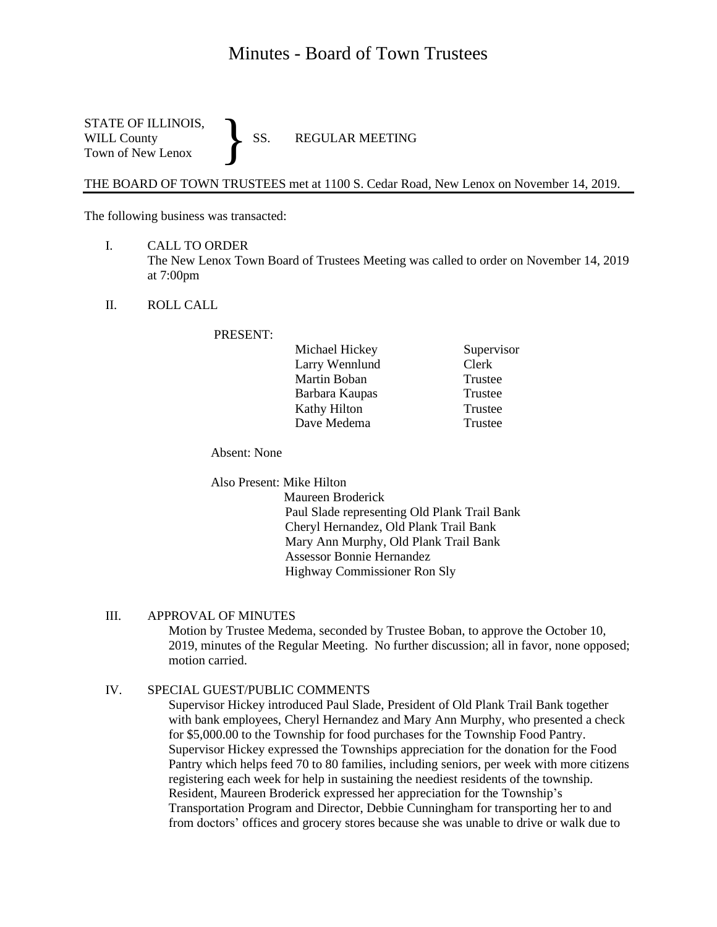# Minutes - Board of Town Trustees

STATE OF ILLINOIS,<br>WILL County SS. WILL County SS. REGULAR MEETING Town of New Lenox }

THE BOARD OF TOWN TRUSTEES met at 1100 S. Cedar Road, New Lenox on November 14, 2019.

The following business was transacted:

- I. CALL TO ORDER The New Lenox Town Board of Trustees Meeting was called to order on November 14, 2019 at 7:00pm
- II. ROLL CALL

PRESENT:

| Michael Hickey      |
|---------------------|
| Larry Wennlund      |
| Martin Boban        |
| Barbara Kaupas      |
| <b>Kathy Hilton</b> |
| Dave Medema         |

Supervisor Clerk Trustee Trustee Trustee **Trustee** 

Absent: None

Also Present: Mike Hilton

 Maureen Broderick Paul Slade representing Old Plank Trail Bank Cheryl Hernandez, Old Plank Trail Bank Mary Ann Murphy, Old Plank Trail Bank Assessor Bonnie Hernandez Highway Commissioner Ron Sly

#### III. APPROVAL OF MINUTES

Motion by Trustee Medema, seconded by Trustee Boban, to approve the October 10, 2019, minutes of the Regular Meeting. No further discussion; all in favor, none opposed; motion carried.

# IV. SPECIAL GUEST/PUBLIC COMMENTS

Supervisor Hickey introduced Paul Slade, President of Old Plank Trail Bank together with bank employees, Cheryl Hernandez and Mary Ann Murphy, who presented a check for \$5,000.00 to the Township for food purchases for the Township Food Pantry. Supervisor Hickey expressed the Townships appreciation for the donation for the Food Pantry which helps feed 70 to 80 families, including seniors, per week with more citizens registering each week for help in sustaining the neediest residents of the township. Resident, Maureen Broderick expressed her appreciation for the Township's Transportation Program and Director, Debbie Cunningham for transporting her to and from doctors' offices and grocery stores because she was unable to drive or walk due to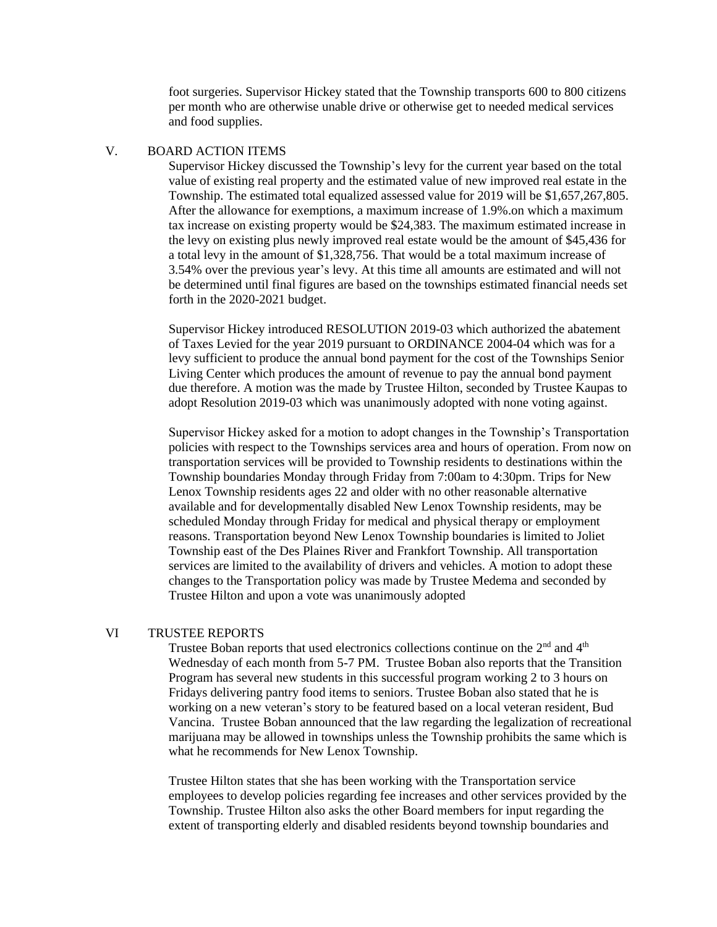foot surgeries. Supervisor Hickey stated that the Township transports 600 to 800 citizens per month who are otherwise unable drive or otherwise get to needed medical services and food supplies.

## V. BOARD ACTION ITEMS

Supervisor Hickey discussed the Township's levy for the current year based on the total value of existing real property and the estimated value of new improved real estate in the Township. The estimated total equalized assessed value for 2019 will be \$1,657,267,805. After the allowance for exemptions, a maximum increase of 1.9%.on which a maximum tax increase on existing property would be \$24,383. The maximum estimated increase in the levy on existing plus newly improved real estate would be the amount of \$45,436 for a total levy in the amount of \$1,328,756. That would be a total maximum increase of 3.54% over the previous year's levy. At this time all amounts are estimated and will not be determined until final figures are based on the townships estimated financial needs set forth in the 2020-2021 budget.

Supervisor Hickey introduced RESOLUTION 2019-03 which authorized the abatement of Taxes Levied for the year 2019 pursuant to ORDINANCE 2004-04 which was for a levy sufficient to produce the annual bond payment for the cost of the Townships Senior Living Center which produces the amount of revenue to pay the annual bond payment due therefore. A motion was the made by Trustee Hilton, seconded by Trustee Kaupas to adopt Resolution 2019-03 which was unanimously adopted with none voting against.

Supervisor Hickey asked for a motion to adopt changes in the Township's Transportation policies with respect to the Townships services area and hours of operation. From now on transportation services will be provided to Township residents to destinations within the Township boundaries Monday through Friday from 7:00am to 4:30pm. Trips for New Lenox Township residents ages 22 and older with no other reasonable alternative available and for developmentally disabled New Lenox Township residents, may be scheduled Monday through Friday for medical and physical therapy or employment reasons. Transportation beyond New Lenox Township boundaries is limited to Joliet Township east of the Des Plaines River and Frankfort Township. All transportation services are limited to the availability of drivers and vehicles. A motion to adopt these changes to the Transportation policy was made by Trustee Medema and seconded by Trustee Hilton and upon a vote was unanimously adopted

# VI TRUSTEE REPORTS

Trustee Boban reports that used electronics collections continue on the  $2<sup>nd</sup>$  and  $4<sup>th</sup>$ Wednesday of each month from 5-7 PM. Trustee Boban also reports that the Transition Program has several new students in this successful program working 2 to 3 hours on Fridays delivering pantry food items to seniors. Trustee Boban also stated that he is working on a new veteran's story to be featured based on a local veteran resident, Bud Vancina. Trustee Boban announced that the law regarding the legalization of recreational marijuana may be allowed in townships unless the Township prohibits the same which is what he recommends for New Lenox Township.

Trustee Hilton states that she has been working with the Transportation service employees to develop policies regarding fee increases and other services provided by the Township. Trustee Hilton also asks the other Board members for input regarding the extent of transporting elderly and disabled residents beyond township boundaries and